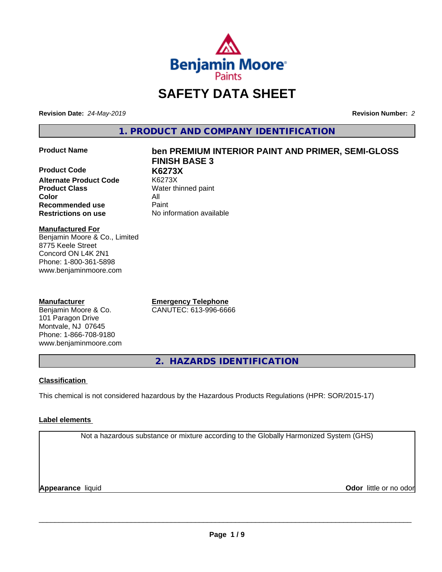

# **SAFETY DATA SHEET**

**Revision Date:** *24-May-2019* **Revision Number:** *2*

**1. PRODUCT AND COMPANY IDENTIFICATION**

**Product Code K6273X Alternate Product Code Product Class** Water thinned paint **Color** All **Recommended use** Paint **Restrictions on use** No information available

## **Product Name ben PREMIUM INTERIOR PAINT AND PRIMER, SEMI-GLOSS FINISH BASE 3**

**Manufactured For** Benjamin Moore & Co., Limited 8775 Keele Street Concord ON L4K 2N1 Phone: 1-800-361-5898 www.benjaminmoore.com

#### **Manufacturer**

Benjamin Moore & Co. 101 Paragon Drive Montvale, NJ 07645 Phone: 1-866-708-9180 www.benjaminmoore.com

**Emergency Telephone** CANUTEC: 613-996-6666

**2. HAZARDS IDENTIFICATION**

#### **Classification**

This chemical is not considered hazardous by the Hazardous Products Regulations (HPR: SOR/2015-17)

#### **Label elements**

Not a hazardous substance or mixture according to the Globally Harmonized System (GHS)

**Appearance** liquid

**Odor** little or no odor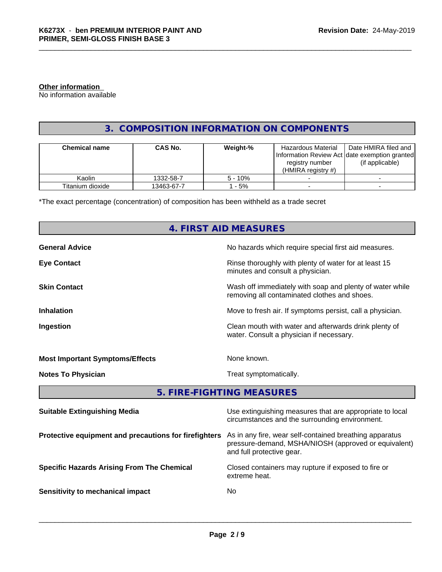#### **Other information**

No information available

#### **3. COMPOSITION INFORMATION ON COMPONENTS**

| <b>Chemical name</b> | <b>CAS No.</b> | Weight-%  | Hazardous Material<br>registry number<br>(HMIRA reaistry #) | Date HMIRA filed and<br>Information Review Act Idate exemption granted<br>(if applicable) |
|----------------------|----------------|-----------|-------------------------------------------------------------|-------------------------------------------------------------------------------------------|
| Kaolin               | 1332-58-7      | $5 - 10%$ |                                                             |                                                                                           |
| Titanium dioxide     | 13463-67-7     | - 5%      |                                                             |                                                                                           |

\*The exact percentage (concentration) of composition has been withheld as a trade secret

## **4. FIRST AID MEASURES**

| <b>General Advice</b>                  | No hazards which require special first aid measures.                                                       |
|----------------------------------------|------------------------------------------------------------------------------------------------------------|
| <b>Eye Contact</b>                     | Rinse thoroughly with plenty of water for at least 15<br>minutes and consult a physician.                  |
| <b>Skin Contact</b>                    | Wash off immediately with soap and plenty of water while<br>removing all contaminated clothes and shoes.   |
| <b>Inhalation</b>                      | Move to fresh air. If symptoms persist, call a physician.                                                  |
| Ingestion                              | Clean mouth with water and afterwards drink plenty of<br>water. Consult a physician if necessary.          |
| <b>Most Important Symptoms/Effects</b> | None known.                                                                                                |
| <b>Notes To Physician</b>              | Treat symptomatically.                                                                                     |
|                                        | 5. FIRE-FIGHTING MEASURES                                                                                  |
| <b>Suitable Extinguishing Media</b>    | Use extinguishing measures that are appropriate to local<br>circumstances and the surrounding environment. |

| <b>Protective equipment and precautions for firefighters</b> As in any fire, wear self-contained breathing apparatus |
|----------------------------------------------------------------------------------------------------------------------|
| pressure-demand, MSHA/NIOSH (approved or equivalent)                                                                 |
| and full protective gear.                                                                                            |
|                                                                                                                      |

extreme heat.

 $\overline{\phantom{a}}$  ,  $\overline{\phantom{a}}$  ,  $\overline{\phantom{a}}$  ,  $\overline{\phantom{a}}$  ,  $\overline{\phantom{a}}$  ,  $\overline{\phantom{a}}$  ,  $\overline{\phantom{a}}$  ,  $\overline{\phantom{a}}$  ,  $\overline{\phantom{a}}$  ,  $\overline{\phantom{a}}$  ,  $\overline{\phantom{a}}$  ,  $\overline{\phantom{a}}$  ,  $\overline{\phantom{a}}$  ,  $\overline{\phantom{a}}$  ,  $\overline{\phantom{a}}$  ,  $\overline{\phantom{a}}$ 

**Specific Hazards Arising From The Chemical Closed containers may rupture if exposed to fire or** 

**Sensitivity to mechanical impact** No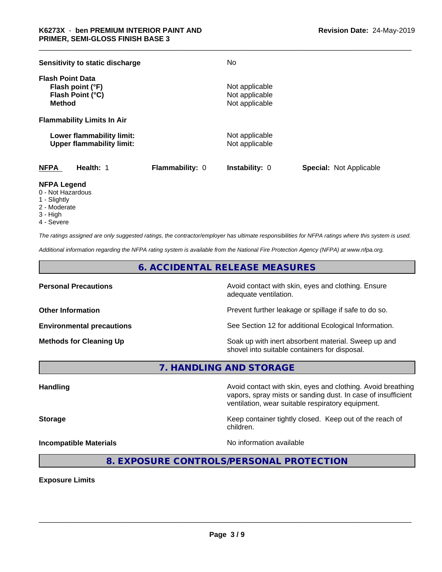| Sensitivity to static discharge                                                  |                 | No                                                 |                                |
|----------------------------------------------------------------------------------|-----------------|----------------------------------------------------|--------------------------------|
| <b>Flash Point Data</b><br>Flash point (°F)<br>Flash Point (°C)<br><b>Method</b> |                 | Not applicable<br>Not applicable<br>Not applicable |                                |
| <b>Flammability Limits In Air</b>                                                |                 |                                                    |                                |
| Lower flammability limit:<br><b>Upper flammability limit:</b>                    |                 | Not applicable<br>Not applicable                   |                                |
| <b>NFPA</b><br>Health: 1                                                         | Flammability: 0 | <b>Instability: 0</b>                              | <b>Special: Not Applicable</b> |

#### **NFPA Legend**

- 0 Not Hazardous
- 1 Slightly
- 2 Moderate
- 3 High
- 4 Severe

*The ratings assigned are only suggested ratings, the contractor/employer has ultimate responsibilities for NFPA ratings where this system is used.*

*Additional information regarding the NFPA rating system is available from the National Fire Protection Agency (NFPA) at www.nfpa.org.*

#### **6. ACCIDENTAL RELEASE MEASURES**

**Personal Precautions Precautions** Avoid contact with skin, eyes and clothing. Ensure adequate ventilation.

**Other Information Other Information Prevent further leakage or spillage if safe to do so.** 

**Environmental precautions** See Section 12 for additional Ecological Information.

**Methods for Cleaning Up Example 20 Soak** up with inert absorbent material. Sweep up and shovel into suitable containers for disposal.

vapors, spray mists or sanding dust. In case of insufficient

ventilation, wear suitable respiratory equipment.

**7. HANDLING AND STORAGE**

**Handling Handling Avoid contact with skin, eyes and clothing. Avoid breathing** 

**Storage Keep container tightly closed.** Keep out of the reach of

 $\overline{\phantom{a}}$  ,  $\overline{\phantom{a}}$  ,  $\overline{\phantom{a}}$  ,  $\overline{\phantom{a}}$  ,  $\overline{\phantom{a}}$  ,  $\overline{\phantom{a}}$  ,  $\overline{\phantom{a}}$  ,  $\overline{\phantom{a}}$  ,  $\overline{\phantom{a}}$  ,  $\overline{\phantom{a}}$  ,  $\overline{\phantom{a}}$  ,  $\overline{\phantom{a}}$  ,  $\overline{\phantom{a}}$  ,  $\overline{\phantom{a}}$  ,  $\overline{\phantom{a}}$  ,  $\overline{\phantom{a}}$ 

**Incompatible Materials Incompatible Materials No information available** 

**8. EXPOSURE CONTROLS/PERSONAL PROTECTION**

children.

**Exposure Limits**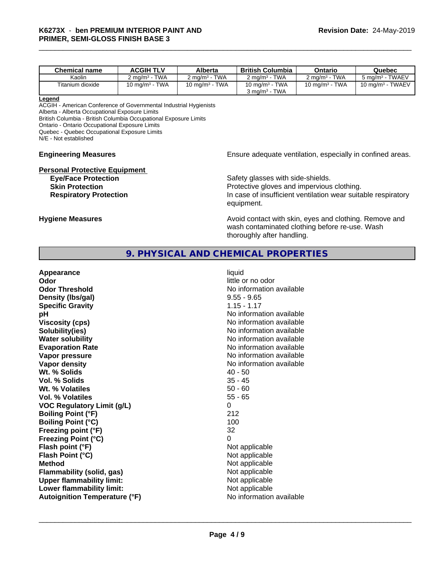| <b>Chemical name</b> | <b>ACGIH TLV</b>         | Alberta                              | <b>British Columbia</b>                                     | Ontario                            | Quebec                      |
|----------------------|--------------------------|--------------------------------------|-------------------------------------------------------------|------------------------------------|-----------------------------|
| Kaolin               | $2 \text{ ma/m}^3$ - TWA | <b>TWA</b><br>$2 \text{ ma/m}^3 - 7$ | <b>TWA</b><br>$2 \text{ ma/m}^3$ - $\overline{\phantom{a}}$ | <b>TWA</b><br>$2 \text{ ma/m}^3$ - | 5 mg/m <sup>3</sup> - TWAEV |
| Titanium dioxide     | 10 mg/m $3$ - TWA        | 10 mg/m $3$ - TWA                    | 10 mg/m $3$ - TWA<br>$3 \text{ ma/m}^3$ - TWA               | 10 mg/m $3$ - TWA                  | 10 mg/m $3$ - TWAEV         |

#### **Legend**

ACGIH - American Conference of Governmental Industrial Hygienists Alberta - Alberta Occupational Exposure Limits British Columbia - British Columbia Occupational Exposure Limits Ontario - Ontario Occupational Exposure Limits Quebec - Quebec Occupational Exposure Limits N/E - Not established

#### **Engineering Measures Engineering Measures Engineering Measures Ensure adequate ventilation, especially in confined areas.**

# **Personal Protective Equipment**<br>**Eye/Face Protection**

Safety glasses with side-shields. **Skin Protection Protection Protective gloves and impervious clothing. Respiratory Protection In case of insufficient ventilation wear suitable respiratory** equipment.

**Hygiene Measures Avoid contact with skin, eyes and clothing. Remove and Avoid contact with skin, eyes and clothing. Remove and** wash contaminated clothing before re-use. Wash thoroughly after handling.

#### **9. PHYSICAL AND CHEMICAL PROPERTIES**

| Appearance<br>Odor<br><b>Odor Threshold</b><br>Density (Ibs/gal)<br><b>Specific Gravity</b><br>pH<br><b>Viscosity (cps)</b><br>Solubility(ies)<br><b>Water solubility</b><br><b>Evaporation Rate</b><br>Vapor pressure<br>Vapor density<br>Wt. % Solids<br>Vol. % Solids<br>Wt. % Volatiles<br><b>Vol. % Volatiles</b><br><b>VOC Regulatory Limit (g/L)</b><br><b>Boiling Point (°F)</b><br><b>Boiling Point (°C)</b><br>Freezing point (°F)<br><b>Freezing Point (°C)</b><br>Flash point (°F)<br>Flash Point (°C)<br><b>Method</b><br><b>Flammability (solid, gas)</b><br><b>Upper flammability limit:</b><br>Lower flammability limit: | liquid<br>little or no odor<br>No information available<br>$9.55 - 9.65$<br>$1.15 - 1.17$<br>No information available<br>No information available<br>No information available<br>No information available<br>No information available<br>No information available<br>No information available<br>$40 - 50$<br>$35 - 45$<br>$50 - 60$<br>$55 - 65$<br>0<br>212<br>100<br>32<br>0<br>Not applicable<br>Not applicable<br>Not applicable<br>Not applicable<br>Not applicable<br>Not applicable |
|------------------------------------------------------------------------------------------------------------------------------------------------------------------------------------------------------------------------------------------------------------------------------------------------------------------------------------------------------------------------------------------------------------------------------------------------------------------------------------------------------------------------------------------------------------------------------------------------------------------------------------------|---------------------------------------------------------------------------------------------------------------------------------------------------------------------------------------------------------------------------------------------------------------------------------------------------------------------------------------------------------------------------------------------------------------------------------------------------------------------------------------------|
| <b>Autoignition Temperature (°F)</b>                                                                                                                                                                                                                                                                                                                                                                                                                                                                                                                                                                                                     | No information available                                                                                                                                                                                                                                                                                                                                                                                                                                                                    |
|                                                                                                                                                                                                                                                                                                                                                                                                                                                                                                                                                                                                                                          |                                                                                                                                                                                                                                                                                                                                                                                                                                                                                             |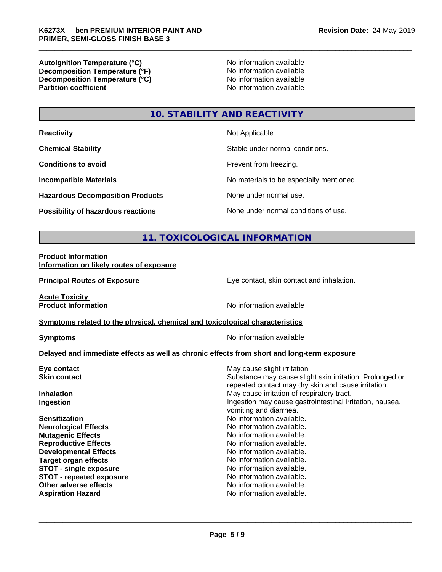**Autoignition Temperature (°C)**<br> **Decomposition Temperature (°F)** No information available **Decomposition Temperature (°F)**<br> **Decomposition Temperature (°C)**<br>
No information available **Decomposition Temperature (°C) Partition coefficient** 

## **10. STABILITY AND REACTIVITY**

| <b>Reactivity</b>                         | Not Applicable                           |
|-------------------------------------------|------------------------------------------|
| <b>Chemical Stability</b>                 | Stable under normal conditions.          |
| <b>Conditions to avoid</b>                | Prevent from freezing.                   |
| <b>Incompatible Materials</b>             | No materials to be especially mentioned. |
| <b>Hazardous Decomposition Products</b>   | None under normal use.                   |
| <b>Possibility of hazardous reactions</b> | None under normal conditions of use.     |

#### **11. TOXICOLOGICAL INFORMATION**

#### **Product Information Information on likely routes of exposure**

**Principal Routes of Exposure Exposure** Eye contact, skin contact and inhalation.

**Acute Toxicity** 

**Product Information** No information available

#### **Symptoms** related to the physical, chemical and toxicological characteristics

**Symptoms** No information available

#### **Delayed and immediate effects as well as chronic effects from short and long-term exposure**

| May cause slight irritation                                                                                     |
|-----------------------------------------------------------------------------------------------------------------|
| Substance may cause slight skin irritation. Prolonged or<br>repeated contact may dry skin and cause irritation. |
| May cause irritation of respiratory tract.                                                                      |
| Ingestion may cause gastrointestinal irritation, nausea,<br>vomiting and diarrhea.                              |
| No information available.                                                                                       |
| No information available.                                                                                       |
| No information available.                                                                                       |
| No information available.                                                                                       |
| No information available.                                                                                       |
| No information available.                                                                                       |
| No information available.                                                                                       |
| No information available.                                                                                       |
| No information available.                                                                                       |
| No information available.                                                                                       |
|                                                                                                                 |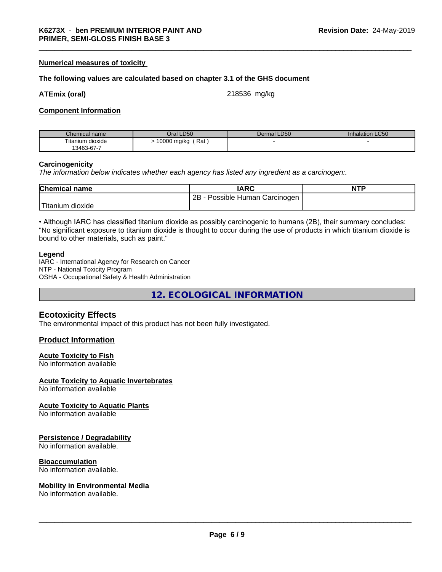#### **Numerical measures of toxicity**

#### **The following values are calculated based on chapter 3.1 of the GHS document**

#### **ATEmix (oral)** 218536 mg/kg

#### **Component Information**

| Chemical name    | Oral LD50          | LD50<br>Dermal L | <b>Inhalation LC50</b> |
|------------------|--------------------|------------------|------------------------|
| Titanium dioxide | Rat<br>10000 mg/kg |                  |                        |
| 13463-67-7       |                    |                  |                        |

#### **Carcinogenicity**

*The information below indicateswhether each agency has listed any ingredient as a carcinogen:.*

| <b>Chemical name</b> | <b>IARC</b>                        | <b>NTP</b> |
|----------------------|------------------------------------|------------|
|                      | 2B<br>Possible Human<br>Carcinogen |            |
| 'Titanium<br>dioxide |                                    |            |

• Although IARC has classified titanium dioxide as possibly carcinogenic to humans (2B), their summary concludes: "No significant exposure to titanium dioxide is thought to occur during the use of products in which titanium dioxide is bound to other materials, such as paint."

#### **Legend**

IARC - International Agency for Research on Cancer NTP - National Toxicity Program OSHA - Occupational Safety & Health Administration

**12. ECOLOGICAL INFORMATION**

#### **Ecotoxicity Effects**

The environmental impact of this product has not been fully investigated.

#### **Product Information**

#### **Acute Toxicity to Fish**

No information available

#### **Acute Toxicity to Aquatic Invertebrates**

No information available

#### **Acute Toxicity to Aquatic Plants**

No information available

#### **Persistence / Degradability**

No information available.

#### **Bioaccumulation**

No information available.

#### **Mobility in Environmental Media**

No information available.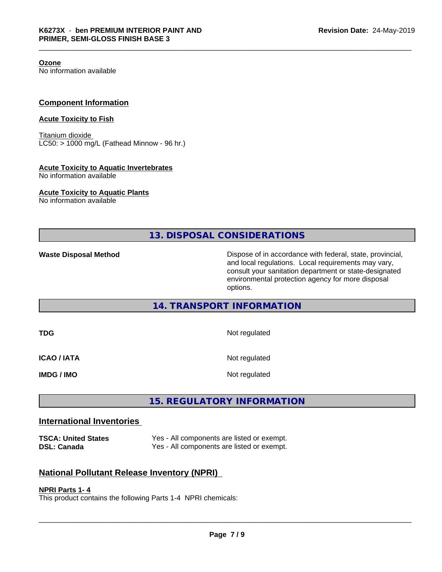**Ozone**

No information available

#### **Component Information**

#### **Acute Toxicity to Fish**

Titanium dioxide  $LC50:$  > 1000 mg/L (Fathead Minnow - 96 hr.)

#### **Acute Toxicity to Aquatic Invertebrates**

No information available

#### **Acute Toxicity to Aquatic Plants**

No information available

**13. DISPOSAL CONSIDERATIONS**

**Waste Disposal Method Dispose of in accordance with federal, state, provincial,** and local regulations. Local requirements may vary, consult your sanitation department or state-designated environmental protection agency for more disposal options.

#### **14. TRANSPORT INFORMATION**

| TDG                | Not regulated |
|--------------------|---------------|
| <b>ICAO / IATA</b> | Not regulated |
| IMDG / IMO         | Not regulated |

### **15. REGULATORY INFORMATION**

#### **International Inventories**

**TSCA: United States** Yes - All components are listed or exempt. **DSL: Canada** Yes - All components are listed or exempt.

#### **National Pollutant Release Inventory (NPRI)**

#### **NPRI Parts 1- 4**

This product contains the following Parts 1-4 NPRI chemicals: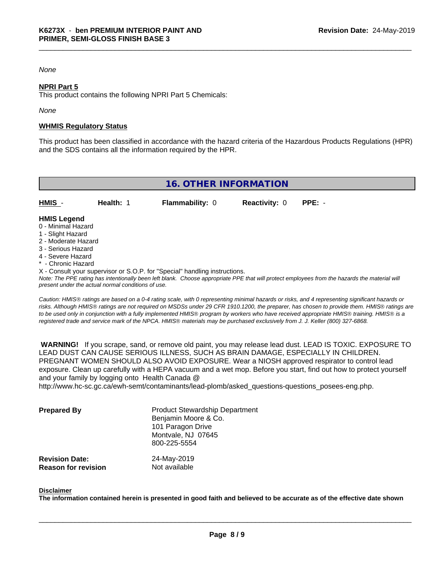#### *None*

#### **NPRI Part 5**

This product contains the following NPRI Part 5 Chemicals:

*None*

#### **WHMIS Regulatory Status**

This product has been classified in accordance with the hazard criteria of the Hazardous Products Regulations (HPR) and the SDS contains all the information required by the HPR.

| <b>16. OTHER INFORMATION</b> |           |                        |                             |  |  |
|------------------------------|-----------|------------------------|-----------------------------|--|--|
| $HMIS -$                     | Health: 1 | <b>Flammability: 0</b> | <b>Reactivity: 0 PPE: -</b> |  |  |
| <b>HMIS Legend</b>           |           |                        |                             |  |  |

- 0 Minimal Hazard
- 1 Slight Hazard
- 2 Moderate Hazard
- 3 Serious Hazard 4 - Severe Hazard
- 
- \* Chronic Hazard
- X Consult your supervisor or S.O.P. for "Special" handling instructions.

*Note: The PPE rating has intentionally been left blank. Choose appropriate PPE that will protect employees from the hazards the material will present under the actual normal conditions of use.*

*Caution: HMISÒ ratings are based on a 0-4 rating scale, with 0 representing minimal hazards or risks, and 4 representing significant hazards or risks. Although HMISÒ ratings are not required on MSDSs under 29 CFR 1910.1200, the preparer, has chosen to provide them. HMISÒ ratings are to be used only in conjunction with a fully implemented HMISÒ program by workers who have received appropriate HMISÒ training. HMISÒ is a registered trade and service mark of the NPCA. HMISÒ materials may be purchased exclusively from J. J. Keller (800) 327-6868.*

 **WARNING!** If you scrape, sand, or remove old paint, you may release lead dust. LEAD IS TOXIC. EXPOSURE TO LEAD DUST CAN CAUSE SERIOUS ILLNESS, SUCH AS BRAIN DAMAGE, ESPECIALLY IN CHILDREN. PREGNANT WOMEN SHOULD ALSO AVOID EXPOSURE.Wear a NIOSH approved respirator to control lead exposure. Clean up carefully with a HEPA vacuum and a wet mop. Before you start, find out how to protect yourself and your family by logging onto Health Canada @

http://www.hc-sc.gc.ca/ewh-semt/contaminants/lead-plomb/asked\_questions-questions\_posees-eng.php.

| <b>Prepared By</b>                                  | <b>Product Stewardship Department</b><br>Benjamin Moore & Co.<br>101 Paragon Drive<br>Montvale, NJ 07645<br>800-225-5554 |  |
|-----------------------------------------------------|--------------------------------------------------------------------------------------------------------------------------|--|
| <b>Revision Date:</b><br><b>Reason for revision</b> | 24-May-2019<br>Not available                                                                                             |  |

#### **Disclaimer**

The information contained herein is presented in good faith and believed to be accurate as of the effective date shown